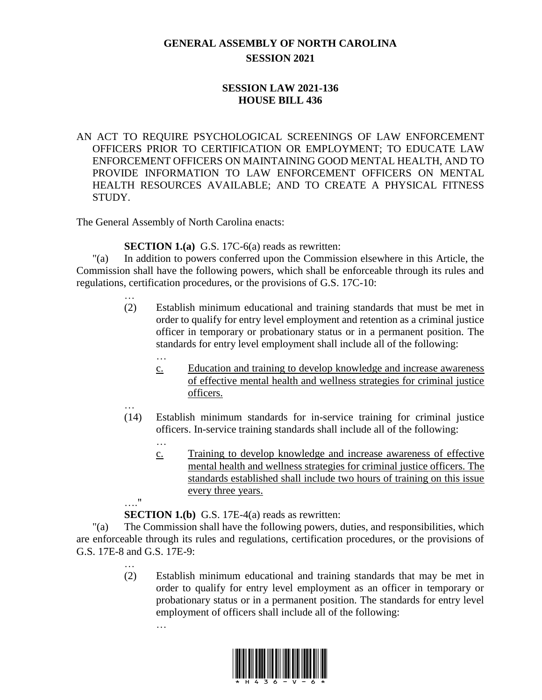## **GENERAL ASSEMBLY OF NORTH CAROLINA SESSION 2021**

## **SESSION LAW 2021-136 HOUSE BILL 436**

AN ACT TO REQUIRE PSYCHOLOGICAL SCREENINGS OF LAW ENFORCEMENT OFFICERS PRIOR TO CERTIFICATION OR EMPLOYMENT; TO EDUCATE LAW ENFORCEMENT OFFICERS ON MAINTAINING GOOD MENTAL HEALTH, AND TO PROVIDE INFORMATION TO LAW ENFORCEMENT OFFICERS ON MENTAL HEALTH RESOURCES AVAILABLE; AND TO CREATE A PHYSICAL FITNESS STUDY.

The General Assembly of North Carolina enacts:

**SECTION 1.(a)** G.S. 17C-6(a) reads as rewritten:

"(a) In addition to powers conferred upon the Commission elsewhere in this Article, the Commission shall have the following powers, which shall be enforceable through its rules and regulations, certification procedures, or the provisions of G.S. 17C-10:

- (2) Establish minimum educational and training standards that must be met in order to qualify for entry level employment and retention as a criminal justice officer in temporary or probationary status or in a permanent position. The standards for entry level employment shall include all of the following:
	- c. Education and training to develop knowledge and increase awareness of effective mental health and wellness strategies for criminal justice officers.
- (14) Establish minimum standards for in-service training for criminal justice officers. In-service training standards shall include all of the following:
	- c. Training to develop knowledge and increase awareness of effective mental health and wellness strategies for criminal justice officers. The standards established shall include two hours of training on this issue every three years.

…."

…

…

…

…

…

**SECTION 1.(b)** G.S. 17E-4(a) reads as rewritten:

"(a) The Commission shall have the following powers, duties, and responsibilities, which are enforceable through its rules and regulations, certification procedures, or the provisions of G.S. 17E-8 and G.S. 17E-9:

> … (2) Establish minimum educational and training standards that may be met in order to qualify for entry level employment as an officer in temporary or probationary status or in a permanent position. The standards for entry level employment of officers shall include all of the following:

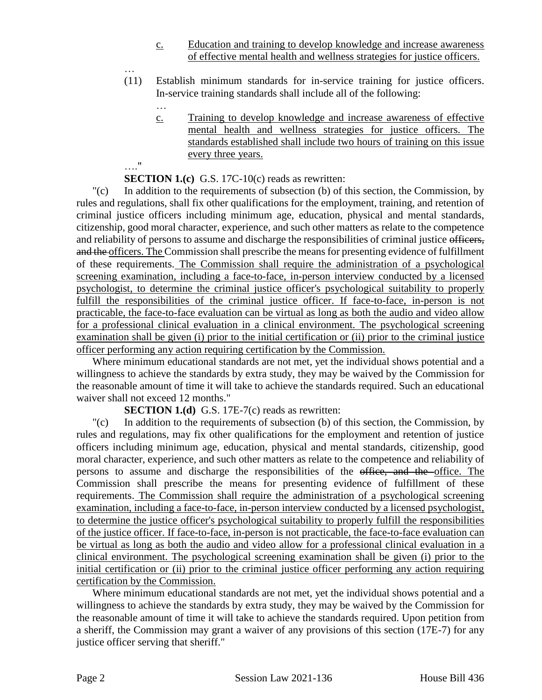- c. Education and training to develop knowledge and increase awareness of effective mental health and wellness strategies for justice officers.
- (11) Establish minimum standards for in-service training for justice officers. In-service training standards shall include all of the following:
	- c. Training to develop knowledge and increase awareness of effective mental health and wellness strategies for justice officers. The standards established shall include two hours of training on this issue every three years.

## …."

…

…

**SECTION 1.(c)** G.S. 17C-10(c) reads as rewritten:

"(c) In addition to the requirements of subsection (b) of this section, the Commission, by rules and regulations, shall fix other qualifications for the employment, training, and retention of criminal justice officers including minimum age, education, physical and mental standards, citizenship, good moral character, experience, and such other matters as relate to the competence and reliability of persons to assume and discharge the responsibilities of criminal justice officers, and the officers. The Commission shall prescribe the means for presenting evidence of fulfillment of these requirements. The Commission shall require the administration of a psychological screening examination, including a face-to-face, in-person interview conducted by a licensed psychologist, to determine the criminal justice officer's psychological suitability to properly fulfill the responsibilities of the criminal justice officer. If face-to-face, in-person is not practicable, the face-to-face evaluation can be virtual as long as both the audio and video allow for a professional clinical evaluation in a clinical environment. The psychological screening examination shall be given (i) prior to the initial certification or (ii) prior to the criminal justice officer performing any action requiring certification by the Commission.

Where minimum educational standards are not met, yet the individual shows potential and a willingness to achieve the standards by extra study, they may be waived by the Commission for the reasonable amount of time it will take to achieve the standards required. Such an educational waiver shall not exceed 12 months."

**SECTION 1.(d)** G.S. 17E-7(c) reads as rewritten:

"(c) In addition to the requirements of subsection (b) of this section, the Commission, by rules and regulations, may fix other qualifications for the employment and retention of justice officers including minimum age, education, physical and mental standards, citizenship, good moral character, experience, and such other matters as relate to the competence and reliability of persons to assume and discharge the responsibilities of the office, and the office. The Commission shall prescribe the means for presenting evidence of fulfillment of these requirements. The Commission shall require the administration of a psychological screening examination, including a face-to-face, in-person interview conducted by a licensed psychologist, to determine the justice officer's psychological suitability to properly fulfill the responsibilities of the justice officer. If face-to-face, in-person is not practicable, the face-to-face evaluation can be virtual as long as both the audio and video allow for a professional clinical evaluation in a clinical environment. The psychological screening examination shall be given (i) prior to the initial certification or (ii) prior to the criminal justice officer performing any action requiring certification by the Commission.

Where minimum educational standards are not met, yet the individual shows potential and a willingness to achieve the standards by extra study, they may be waived by the Commission for the reasonable amount of time it will take to achieve the standards required. Upon petition from a sheriff, the Commission may grant a waiver of any provisions of this section (17E-7) for any justice officer serving that sheriff."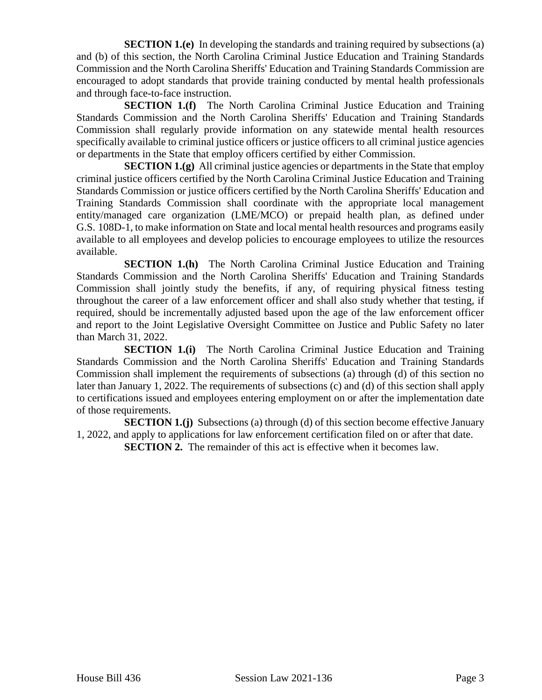**SECTION 1.(e)** In developing the standards and training required by subsections (a) and (b) of this section, the North Carolina Criminal Justice Education and Training Standards Commission and the North Carolina Sheriffs' Education and Training Standards Commission are encouraged to adopt standards that provide training conducted by mental health professionals and through face-to-face instruction.

**SECTION 1.(f)** The North Carolina Criminal Justice Education and Training Standards Commission and the North Carolina Sheriffs' Education and Training Standards Commission shall regularly provide information on any statewide mental health resources specifically available to criminal justice officers or justice officers to all criminal justice agencies or departments in the State that employ officers certified by either Commission.

**SECTION 1.(g)** All criminal justice agencies or departments in the State that employ criminal justice officers certified by the North Carolina Criminal Justice Education and Training Standards Commission or justice officers certified by the North Carolina Sheriffs' Education and Training Standards Commission shall coordinate with the appropriate local management entity/managed care organization (LME/MCO) or prepaid health plan, as defined under G.S. 108D-1, to make information on State and local mental health resources and programs easily available to all employees and develop policies to encourage employees to utilize the resources available.

**SECTION 1.(h)** The North Carolina Criminal Justice Education and Training Standards Commission and the North Carolina Sheriffs' Education and Training Standards Commission shall jointly study the benefits, if any, of requiring physical fitness testing throughout the career of a law enforcement officer and shall also study whether that testing, if required, should be incrementally adjusted based upon the age of the law enforcement officer and report to the Joint Legislative Oversight Committee on Justice and Public Safety no later than March 31, 2022.

**SECTION 1.(i)** The North Carolina Criminal Justice Education and Training Standards Commission and the North Carolina Sheriffs' Education and Training Standards Commission shall implement the requirements of subsections (a) through (d) of this section no later than January 1, 2022. The requirements of subsections (c) and (d) of this section shall apply to certifications issued and employees entering employment on or after the implementation date of those requirements.

**SECTION 1.(j)** Subsections (a) through (d) of this section become effective January 1, 2022, and apply to applications for law enforcement certification filed on or after that date.

**SECTION 2.** The remainder of this act is effective when it becomes law.